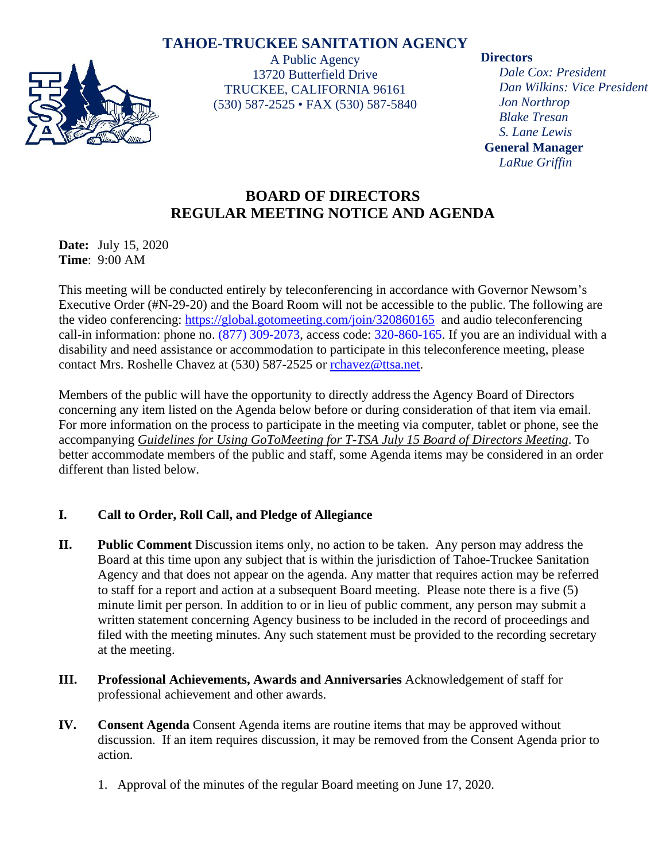# **TAHOE-TRUCKEE SANITATION AGENCY**



A Public Agency 13720 Butterfield Drive TRUCKEE, CALIFORNIA 96161 (530) 587-2525 • FAX (530) 587-5840

#### **Directors**

*Dale Cox: President Dan Wilkins: Vice President Jon Northrop Blake Tresan S. Lane Lewis* **General Manager** *LaRue Griffin*

# **BOARD OF DIRECTORS REGULAR MEETING NOTICE AND AGENDA**

**Date:** July 15, 2020 **Time**: 9:00 AM

This meeting will be conducted entirely by teleconferencing in accordance with Governor Newsom's Executive Order (#N-29-20) and the Board Room will not be accessible to the public. The following are the video conferencing:<https://global.gotomeeting.com/join/320860165> and audio teleconferencing call-in information: phone no. (877) 309-2073, access code: 320-860-165. If you are an individual with a disability and need assistance or accommodation to participate in this teleconference meeting, please contact Mrs. Roshelle Chavez at (530) 587-2525 or [rchavez@ttsa.net.](mailto:rchavez@ttsa.net)

Members of the public will have the opportunity to directly address the Agency Board of Directors concerning any item listed on the Agenda below before or during consideration of that item via email. For more information on the process to participate in the meeting via computer, tablet or phone, see the accompanying *Guidelines for Using GoToMeeting for T-TSA July 15 Board of Directors Meeting*. To better accommodate members of the public and staff, some Agenda items may be considered in an order different than listed below.

## **I. Call to Order, Roll Call, and Pledge of Allegiance**

- **II. Public Comment** Discussion items only, no action to be taken. Any person may address the Board at this time upon any subject that is within the jurisdiction of Tahoe-Truckee Sanitation Agency and that does not appear on the agenda. Any matter that requires action may be referred to staff for a report and action at a subsequent Board meeting. Please note there is a five (5) minute limit per person. In addition to or in lieu of public comment, any person may submit a written statement concerning Agency business to be included in the record of proceedings and filed with the meeting minutes. Any such statement must be provided to the recording secretary at the meeting.
- **III. Professional Achievements, Awards and Anniversaries** Acknowledgement of staff for professional achievement and other awards.
- **IV. Consent Agenda** Consent Agenda items are routine items that may be approved without discussion. If an item requires discussion, it may be removed from the Consent Agenda prior to action.
	- 1. Approval of the minutes of the regular Board meeting on June 17, 2020.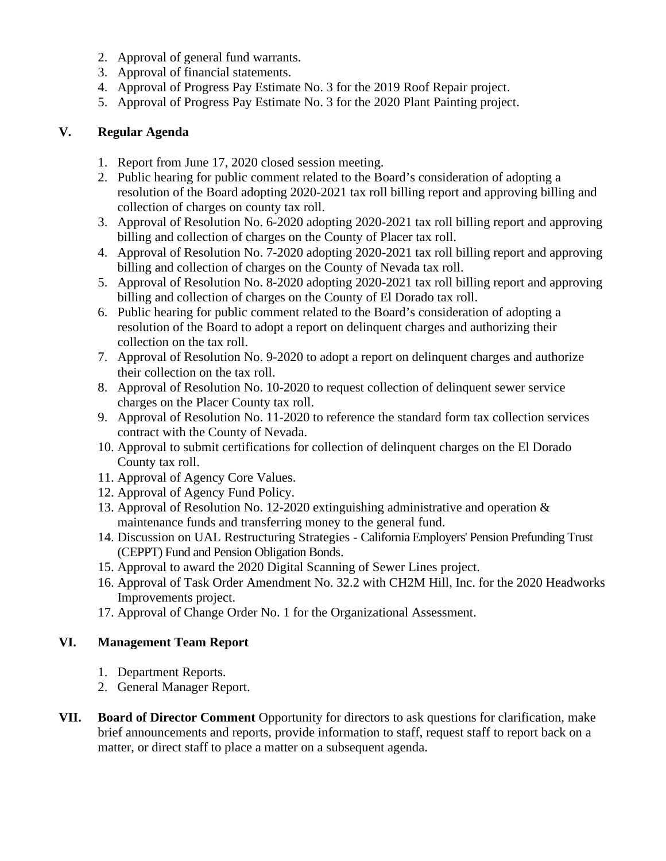- 2. Approval of general fund warrants.
- 3. Approval of financial statements.
- 4. Approval of Progress Pay Estimate No. 3 for the 2019 Roof Repair project.
- 5. Approval of Progress Pay Estimate No. 3 for the 2020 Plant Painting project.

## **V. Regular Agenda**

- 1. Report from June 17, 2020 closed session meeting.
- 2. Public hearing for public comment related to the Board's consideration of adopting a resolution of the Board adopting 2020-2021 tax roll billing report and approving billing and collection of charges on county tax roll.
- 3. Approval of Resolution No. 6-2020 adopting 2020-2021 tax roll billing report and approving billing and collection of charges on the County of Placer tax roll.
- 4. Approval of Resolution No. 7-2020 adopting 2020-2021 tax roll billing report and approving billing and collection of charges on the County of Nevada tax roll.
- 5. Approval of Resolution No. 8-2020 adopting 2020-2021 tax roll billing report and approving billing and collection of charges on the County of El Dorado tax roll.
- 6. Public hearing for public comment related to the Board's consideration of adopting a resolution of the Board to adopt a report on delinquent charges and authorizing their collection on the tax roll.
- 7. Approval of Resolution No. 9-2020 to adopt a report on delinquent charges and authorize their collection on the tax roll.
- 8. Approval of Resolution No. 10-2020 to request collection of delinquent sewer service charges on the Placer County tax roll.
- 9. Approval of Resolution No. 11-2020 to reference the standard form tax collection services contract with the County of Nevada.
- 10. Approval to submit certifications for collection of delinquent charges on the El Dorado County tax roll.
- 11. Approval of Agency Core Values.
- 12. Approval of Agency Fund Policy.
- 13. Approval of Resolution No. 12-2020 extinguishing administrative and operation & maintenance funds and transferring money to the general fund.
- 14. Discussion on UAL Restructuring Strategies California Employers' Pension Prefunding Trust (CEPPT) Fund and Pension Obligation Bonds.
- 15. Approval to award the 2020 Digital Scanning of Sewer Lines project.
- 16. Approval of Task Order Amendment No. 32.2 with CH2M Hill, Inc. for the 2020 Headworks Improvements project.
- 17. Approval of Change Order No. 1 for the Organizational Assessment.

## **VI. Management Team Report**

- 1. Department Reports.
- 2. General Manager Report.
- **VII. Board of Director Comment** Opportunity for directors to ask questions for clarification, make brief announcements and reports, provide information to staff, request staff to report back on a matter, or direct staff to place a matter on a subsequent agenda.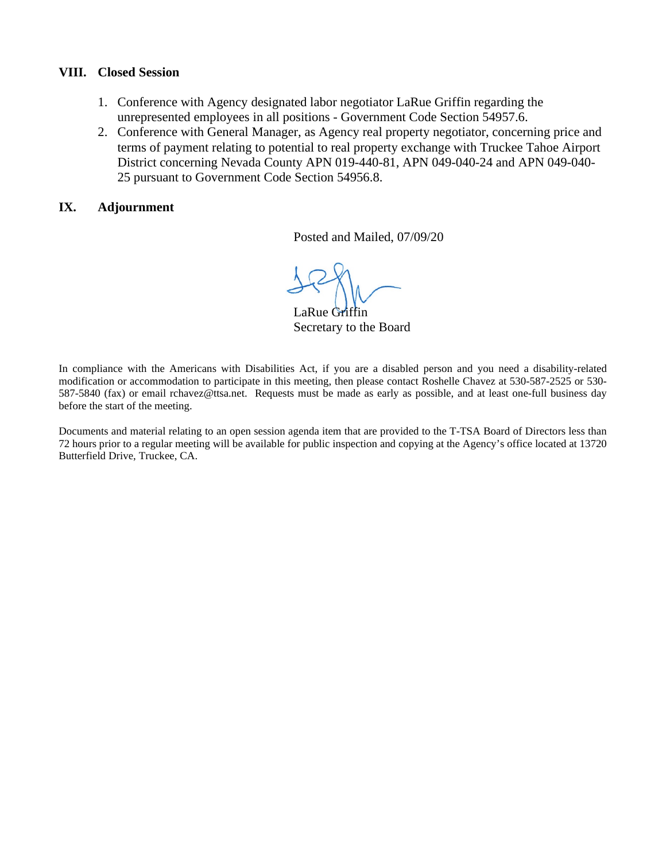#### **VIII. Closed Session**

- 1. Conference with Agency designated labor negotiator LaRue Griffin regarding the unrepresented employees in all positions - Government Code Section 54957.6.
- 2. Conference with General Manager, as Agency real property negotiator, concerning price and terms of payment relating to potential to real property exchange with Truckee Tahoe Airport District concerning Nevada County APN 019-440-81, APN 049-040-24 and APN 049-040- 25 pursuant to Government Code Section 54956.8.

#### **IX. Adjournment**

Posted and Mailed, 07/09/20

 $\overline{\phantom{a}}$ 

LaRue Griffin Secretary to the Board

In compliance with the Americans with Disabilities Act, if you are a disabled person and you need a disability-related modification or accommodation to participate in this meeting, then please contact Roshelle Chavez at 530-587-2525 or 530- 587-5840 (fax) or email rchavez@ttsa.net. Requests must be made as early as possible, and at least one-full business day before the start of the meeting.

Documents and material relating to an open session agenda item that are provided to the T-TSA Board of Directors less than 72 hours prior to a regular meeting will be available for public inspection and copying at the Agency's office located at 13720 Butterfield Drive, Truckee, CA.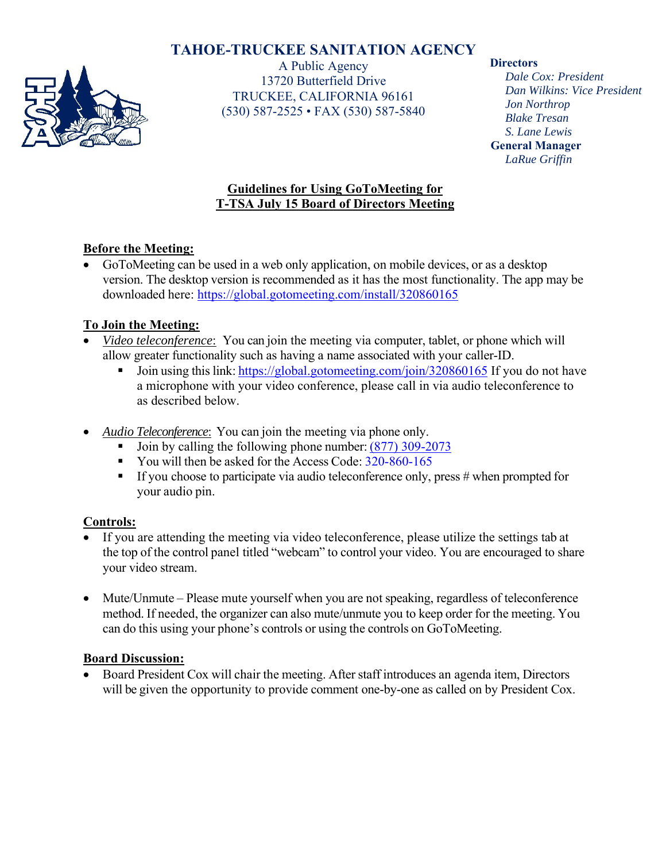# **TAHOE-TRUCKEE SANITATION AGENCY**



A Public Agency 13720 Butterfield Drive TRUCKEE, CALIFORNIA 96161 (530) 587-2525 • FAX (530) 587-5840

#### **Directors**

*Dale Cox: President Dan Wilkins: Vice President Jon Northrop Blake Tresan S. Lane Lewis*  **General Manager** *LaRue Griffin*

## **Guidelines for Using GoToMeeting for T-TSA July 15 Board of Directors Meeting**

## **Before the Meeting:**

 GoToMeeting can be used in a web only application, on mobile devices, or as a desktop version. The desktop version is recommended as it has the most functionality. The app may be downloaded here: https://global.gotomeeting.com/install/320860165

## **To Join the Meeting:**

- *Video teleconference*: You can join the meeting via computer, tablet, or phone which will allow greater functionality such as having a name associated with your caller-ID.
	- Join using this link: https://global.gotomeeting.com/join/320860165 If you do not have a microphone with your video conference, please call in via audio teleconference to as described below.
- *Audio Teleconference*: You can join the meeting via phone only.
	- Join by calling the following phone number:  $(877)$  309-2073
	- You will then be asked for the Access Code: 320-860-165
	- **If you choose to participate via audio teleconference only, press # when prompted for** your audio pin.

## **Controls:**

- If you are attending the meeting via video teleconference, please utilize the settings tab at the top of the control panel titled "webcam" to control your video. You are encouraged to share your video stream.
- Mute/Unmute Please mute yourself when you are not speaking, regardless of teleconference method. If needed, the organizer can also mute/unmute you to keep order for the meeting. You can do this using your phone's controls or using the controls on GoToMeeting.

## **Board Discussion:**

• Board President Cox will chair the meeting. After staff introduces an agenda item, Directors will be given the opportunity to provide comment one-by-one as called on by President Cox.